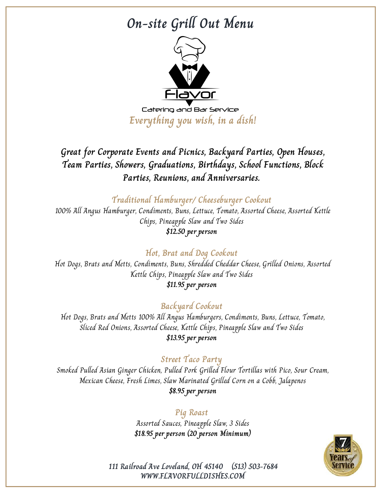## **On-site Grill Out Menu**



**Everything you wish, in a dish!**

## **Great for Corporate Events and Picnics, Backyard Parties, Open Houses, Team Parties, Showers, Graduations, Birthdays, School Functions, Block Parties, Reunions, and Anniversaries.**

**Traditional Hamburger/ Cheeseburger Cookout**

100% All Angus Hamburger, Condiments, Buns, Lettuce, Tomato, Assorted Cheese, Assorted Kettle Chips, Pineapple Slaw and Two Sides **\$12.50 per person**

### **Hot, Brat and Dog Cookout**

Hot Dogs, Brats and Metts, Condiments, Buns, Shredded Cheddar Cheese, Grilled Onions, Assorted Kettle Chips, Pineapple Slaw and Two Sides **\$11.95 per person**

#### **Backyard Cookout**

Hot Dogs, Brats and Metts 100% All Angus Hamburgers, Condiments, Buns, Lettuce, Tomato, Sliced Red Onions, Assorted Cheese, Kettle Chips, Pineapple Slaw and Two Sides **\$13.95 per person**

#### **Street Taco Party**

Smoked Pulled Asian Ginger Chicken, Pulled Pork Grilled Flour Tortillas with Pico, Sour Cream, Mexican Cheese, Fresh Limes, Slaw Marinated Grilled Corn on a Cobb, Jalapenos **\$8.95 per person**

#### **Pig Roast**

Assorted Sauces, Pineapple Slaw, 3 Sides **\$18.95 per person (20 person Minimum)**



**WWW.FLAVORFULLDISHES.COM 111 Railroad Ave Loveland, OH 45140 (513) 503-7684**